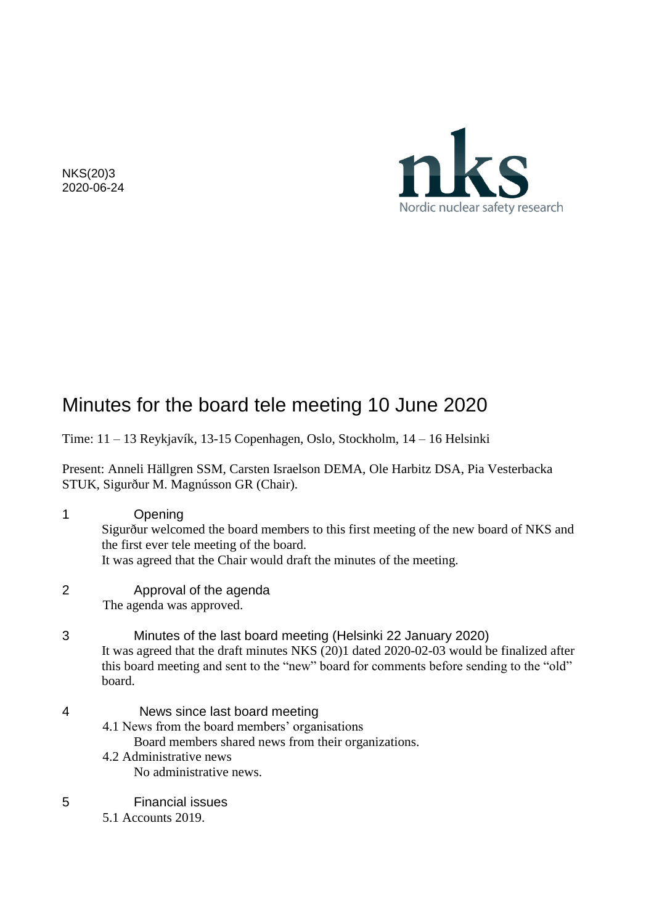

NKS(20)3 2020-06-24

# Minutes for the board tele meeting 10 June 2020

Time: 11 – 13 Reykjavík, 13-15 Copenhagen, Oslo, Stockholm, 14 – 16 Helsinki

Present: Anneli Hällgren SSM, Carsten Israelson DEMA, Ole Harbitz DSA, Pia Vesterbacka STUK, Sigurður M. Magnússon GR (Chair).

- 1 Opening Sigurður welcomed the board members to this first meeting of the new board of NKS and the first ever tele meeting of the board. It was agreed that the Chair would draft the minutes of the meeting. 2 Approval of the agenda The agenda was approved.
- 3 Minutes of the last board meeting (Helsinki 22 January 2020) It was agreed that the draft minutes NKS (20)1 dated 2020-02-03 would be finalized after this board meeting and sent to the "new" board for comments before sending to the "old" board.
- 4 News since last board meeting
	- 4.1 News from the board members' organisations
		- Board members shared news from their organizations.
	- 4.2 Administrative news No administrative news.
- 5 Financial issues
	- 5.1 Accounts 2019.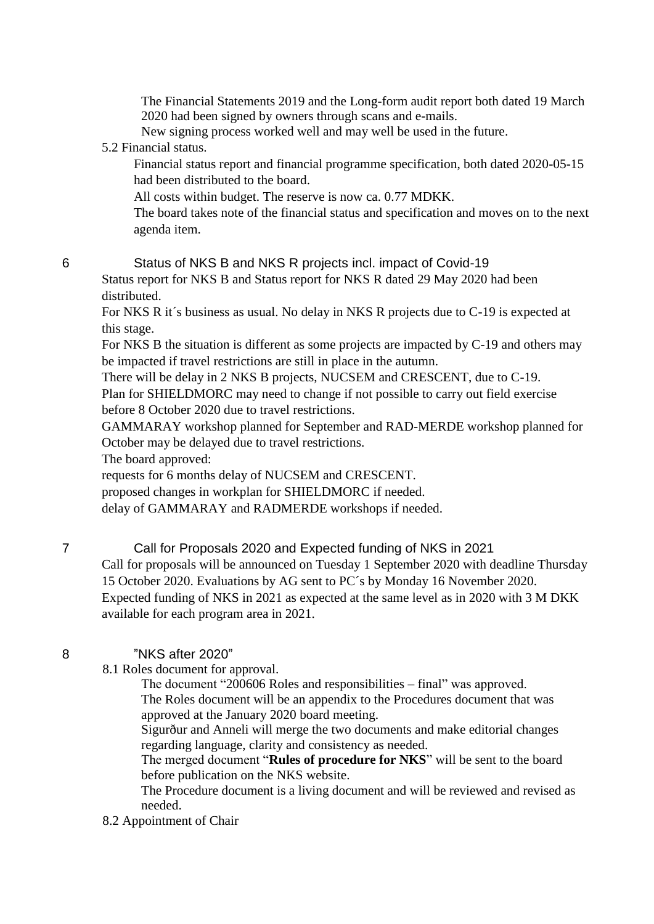The Financial Statements 2019 and the Long-form audit report both dated 19 March 2020 had been signed by owners through scans and e-mails.

New signing process worked well and may well be used in the future.

### 5.2 Financial status.

Financial status report and financial programme specification, both dated 2020-05-15 had been distributed to the board.

All costs within budget. The reserve is now ca. 0.77 MDKK.

The board takes note of the financial status and specification and moves on to the next agenda item.

6 Status of NKS B and NKS R projects incl. impact of Covid-19

Status report for NKS B and Status report for NKS R dated 29 May 2020 had been distributed.

For NKS R it´s business as usual. No delay in NKS R projects due to C-19 is expected at this stage.

For NKS B the situation is different as some projects are impacted by C-19 and others may be impacted if travel restrictions are still in place in the autumn.

There will be delay in 2 NKS B projects, NUCSEM and CRESCENT, due to C-19.

Plan for SHIELDMORC may need to change if not possible to carry out field exercise before 8 October 2020 due to travel restrictions.

GAMMARAY workshop planned for September and RAD-MERDE workshop planned for October may be delayed due to travel restrictions.

The board approved:

requests for 6 months delay of NUCSEM and CRESCENT.

proposed changes in workplan for SHIELDMORC if needed.

delay of GAMMARAY and RADMERDE workshops if needed.

# 7 Call for Proposals 2020 and Expected funding of NKS in 2021

Call for proposals will be announced on Tuesday 1 September 2020 with deadline Thursday 15 October 2020. Evaluations by AG sent to PC´s by Monday 16 November 2020. Expected funding of NKS in 2021 as expected at the same level as in 2020 with 3 M DKK available for each program area in 2021.

# 8 "NKS after 2020"

8.1 Roles document for approval.

The document "200606 Roles and responsibilities – final" was approved. The Roles document will be an appendix to the Procedures document that was approved at the January 2020 board meeting.

Sigurður and Anneli will merge the two documents and make editorial changes regarding language, clarity and consistency as needed.

The merged document "**Rules of procedure for NKS**" will be sent to the board before publication on the NKS website.

The Procedure document is a living document and will be reviewed and revised as needed.

# 8.2 Appointment of Chair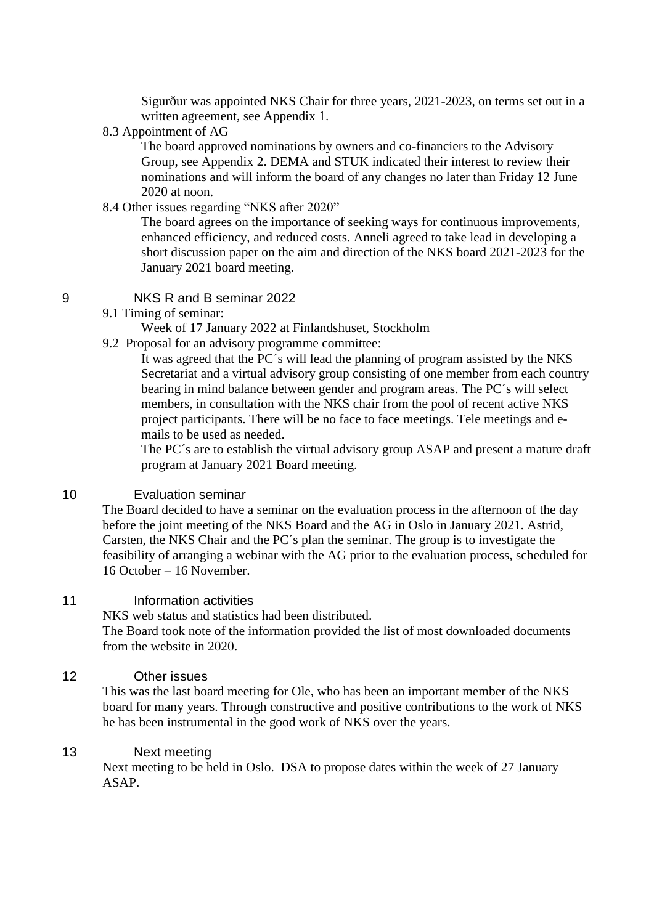Sigurður was appointed NKS Chair for three years, 2021-2023, on terms set out in a written agreement, see Appendix 1.

#### 8.3 Appointment of AG

The board approved nominations by owners and co-financiers to the Advisory Group, see Appendix 2. DEMA and STUK indicated their interest to review their nominations and will inform the board of any changes no later than Friday 12 June 2020 at noon.

#### 8.4 Other issues regarding "NKS after 2020"

The board agrees on the importance of seeking ways for continuous improvements, enhanced efficiency, and reduced costs. Anneli agreed to take lead in developing a short discussion paper on the aim and direction of the NKS board 2021-2023 for the January 2021 board meeting.

### 9 NKS R and B seminar 2022

9.1 Timing of seminar:

Week of 17 January 2022 at Finlandshuset, Stockholm

9.2 Proposal for an advisory programme committee:

It was agreed that the PC´s will lead the planning of program assisted by the NKS Secretariat and a virtual advisory group consisting of one member from each country bearing in mind balance between gender and program areas. The PC´s will select members, in consultation with the NKS chair from the pool of recent active NKS project participants. There will be no face to face meetings. Tele meetings and emails to be used as needed.

The PC´s are to establish the virtual advisory group ASAP and present a mature draft program at January 2021 Board meeting.

#### 10 Evaluation seminar

The Board decided to have a seminar on the evaluation process in the afternoon of the day before the joint meeting of the NKS Board and the AG in Oslo in January 2021. Astrid, Carsten, the NKS Chair and the PC´s plan the seminar. The group is to investigate the feasibility of arranging a webinar with the AG prior to the evaluation process, scheduled for 16 October – 16 November.

#### 11 **Information activities**

NKS web status and statistics had been distributed. The Board took note of the information provided the list of most downloaded documents from the website in 2020.

#### 12 Other issues

This was the last board meeting for Ole, who has been an important member of the NKS board for many years. Through constructive and positive contributions to the work of NKS he has been instrumental in the good work of NKS over the years.

### 13 Next meeting

Next meeting to be held in Oslo. DSA to propose dates within the week of 27 January ASAP.